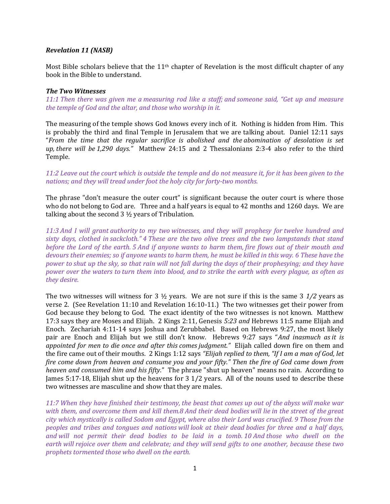## Revelation 11 (NASB)

Most Bible scholars believe that the 11<sup>th</sup> chapter of Revelation is the most difficult chapter of any book in the Bible to understand.

## The Two Witnesses

11:1 Then there was given me a measuring rod like a staff; and someone said, "Get up and measure the temple of God and the altar, and those who worship in it.

The measuring of the temple shows God knows every inch of it. Nothing is hidden from Him. This is probably the third and final Temple in Jerusalem that we are talking about. Daniel 12:11 says "From the time that the regular sacrifice is abolished and the abomination of desolation is set up, there will be 1,290 days." Matthew 24:15 and 2 Thessalonians 2:3-4 also refer to the third Temple.

11:2 Leave out the court which is outside the temple and do not measure it, for it has been given to the nations; and they will tread under foot the holy city for forty-two months.

The phrase "don't measure the outer court" is significant because the outer court is where those who do not belong to God are. Three and a half years is equal to 42 months and 1260 days. We are talking about the second 3 ½ years of Tribulation.

11:3 And I will grant authority to my two witnesses, and they will prophesy for twelve hundred and sixty days, clothed in sackcloth." 4 These are the two olive trees and the two lampstands that stand before the Lord of the earth. 5 And if anyone wants to harm them, fire flows out of their mouth and devours their enemies; so if anyone wants to harm them, he must be killed in this way. 6 These have the power to shut up the sky, so that rain will not fall during the days of their prophesying; and they have power over the waters to turn them into blood, and to strike the earth with every plague, as often as they desire.

The two witnesses will witness for 3  $\frac{1}{2}$  years. We are not sure if this is the same 3  $\frac{1}{2}$  years as verse 2. (See Revelation 11:10 and Revelation 16:10-11.) The two witnesses get their power from God because they belong to God. The exact identity of the two witnesses is not known. Matthew 17:3 says they are Moses and Elijah. 2 Kings 2:11, Genesis 5:23 and Hebrews 11:5 name Elijah and Enoch. Zechariah 4:11-14 says Joshua and Zerubbabel. Based on Hebrews 9:27, the most likely pair are Enoch and Elijah but we still don't know. Hebrews 9:27 says "And inasmuch as it is appointed for men to die once and after this comes judgment." Elijah called down fire on them and the fire came out of their mouths. 2 Kings 1:12 says "Elijah replied to them, "If I am a man of God, let fire come down from heaven and consume you and your fifty." Then the fire of God came down from heaven and consumed him and his fifty." The phrase "shut up heaven" means no rain. According to James 5:17-18, Elijah shut up the heavens for 3 1/2 years. All of the nouns used to describe these two witnesses are masculine and show that they are males.

11:7 When they have finished their testimony, the beast that comes up out of the abyss will make war with them, and overcome them and kill them.8 And their dead bodies will lie in the street of the great city which mystically is called Sodom and Egypt, where also their Lord was crucified. 9 Those from the peoples and tribes and tongues and nations will look at their dead bodies for three and a half days, and will not permit their dead bodies to be laid in a tomb. 10 And those who dwell on the earth will rejoice over them and celebrate; and they will send gifts to one another, because these two prophets tormented those who dwell on the earth.